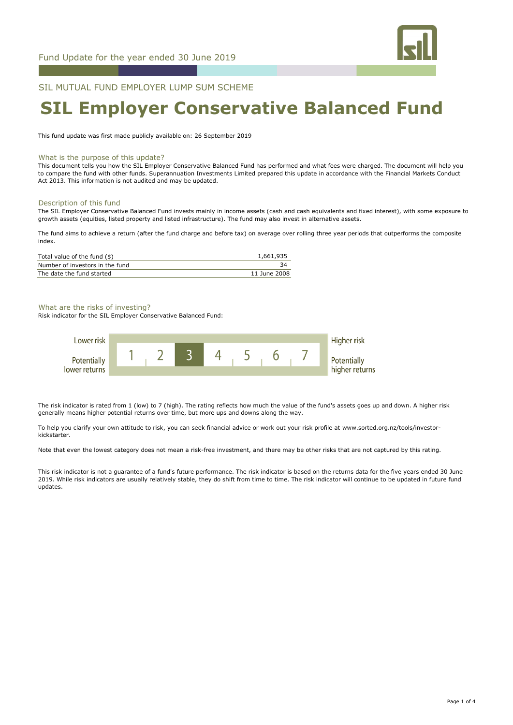

# SIL MUTUAL FUND EMPLOYER LUMP SUM SCHEME

# **SIL Employer Conservative Balanced Fund**

This fund update was first made publicly available on: 26 September 2019

#### What is the purpose of this update?

This document tells you how the SIL Employer Conservative Balanced Fund has performed and what fees were charged. The document will help you to compare the fund with other funds. Superannuation Investments Limited prepared this update in accordance with the Financial Markets Conduct Act 2013. This information is not audited and may be updated.

#### Description of this fund

The SIL Employer Conservative Balanced Fund invests mainly in income assets (cash and cash equivalents and fixed interest), with some exposure to growth assets (equities, listed property and listed infrastructure). The fund may also invest in alternative assets.

The fund aims to achieve a return (after the fund charge and before tax) on average over rolling three year periods that outperforms the composite index.

| Total value of the fund $(\$)$  | 1,661,935    |
|---------------------------------|--------------|
| Number of investors in the fund |              |
| The date the fund started       | 11 June 2008 |

# What are the risks of investing?

Risk indicator for the SIL Employer Conservative Balanced Fund:



The risk indicator is rated from 1 (low) to 7 (high). The rating reflects how much the value of the fund's assets goes up and down. A higher risk generally means higher potential returns over time, but more ups and downs along the way.

To help you clarify your own attitude to risk, you can seek financial advice or work out your risk profile at www.sorted.org.nz/tools/investorkickstarter.

Note that even the lowest category does not mean a risk-free investment, and there may be other risks that are not captured by this rating.

This risk indicator is not a guarantee of a fund's future performance. The risk indicator is based on the returns data for the five years ended 30 June 2019. While risk indicators are usually relatively stable, they do shift from time to time. The risk indicator will continue to be updated in future fund updates.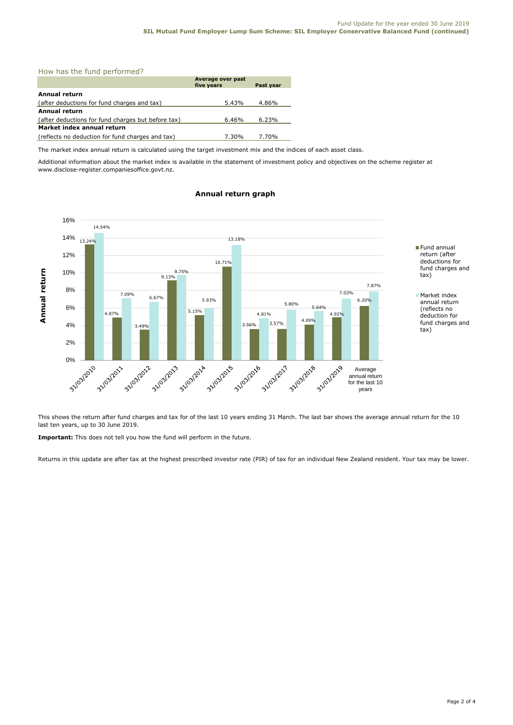# How has the fund performed?

|                                                    | Average over past<br>five years | Past year |  |
|----------------------------------------------------|---------------------------------|-----------|--|
| Annual return                                      |                                 |           |  |
| (after deductions for fund charges and tax)        | 5.43%                           | 4.86%     |  |
| <b>Annual return</b>                               |                                 |           |  |
| (after deductions for fund charges but before tax) | $6.46\%$                        | 6.23%     |  |
| Market index annual return                         |                                 |           |  |
| (reflects no deduction for fund charges and tax)   | 7.30%                           | 7.70%     |  |

The market index annual return is calculated using the target investment mix and the indices of each asset class.

Additional information about the market index is available in the statement of investment policy and objectives on the scheme register at www.disclose-register.companiesoffice.govt.nz.



# **Annual return graph**

This shows the return after fund charges and tax for of the last 10 years ending 31 March. The last bar shows the average annual return for the 10 last ten years, up to 30 June 2019.

**Important:** This does not tell you how the fund will perform in the future.

Returns in this update are after tax at the highest prescribed investor rate (PIR) of tax for an individual New Zealand resident. Your tax may be lower.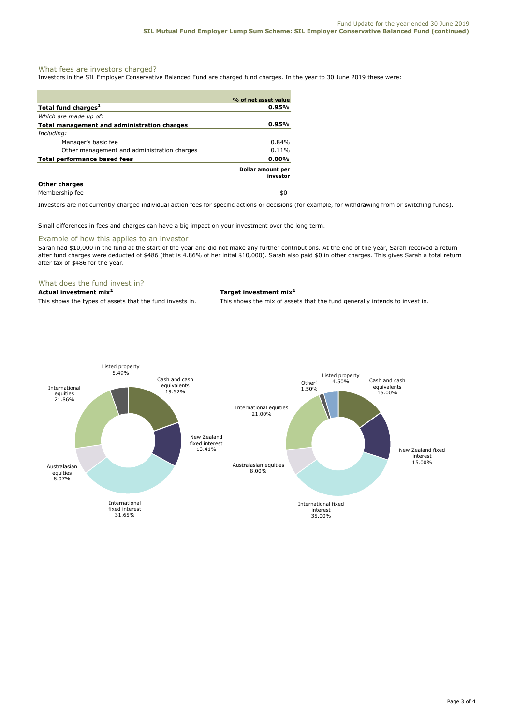# What fees are investors charged?

Investors in the SIL Employer Conservative Balanced Fund are charged fund charges. In the year to 30 June 2019 these were:

|                                             | % of net asset value                 |
|---------------------------------------------|--------------------------------------|
| Total fund charges <sup>1</sup>             | 0.95%                                |
| Which are made up of:                       |                                      |
| Total management and administration charges | 0.95%                                |
| Including:                                  |                                      |
| Manager's basic fee                         | $0.84\%$                             |
| Other management and administration charges | 0.11%                                |
| <b>Total performance based fees</b>         | $0.00\%$                             |
|                                             | <b>Dollar amount per</b><br>investor |
| <b>Other charges</b>                        |                                      |
| Membership fee                              | \$0                                  |

Investors are not currently charged individual action fees for specific actions or decisions (for example, for withdrawing from or switching funds).

Small differences in fees and charges can have a big impact on your investment over the long term.

# Example of how this applies to an investor

Sarah had \$10,000 in the fund at the start of the year and did not make any further contributions. At the end of the year, Sarah received a return after fund charges were deducted of \$486 (that is 4.86% of her inital \$10,000). Sarah also paid \$0 in other charges. This gives Sarah a total return after tax of \$486 for the year.

# What does the fund invest in?

# **Actual investment mix<sup>2</sup> Target investment mix<sup>2</sup>**

This shows the types of assets that the fund invests in. This shows the mix of assets that the fund generally intends to invest in.